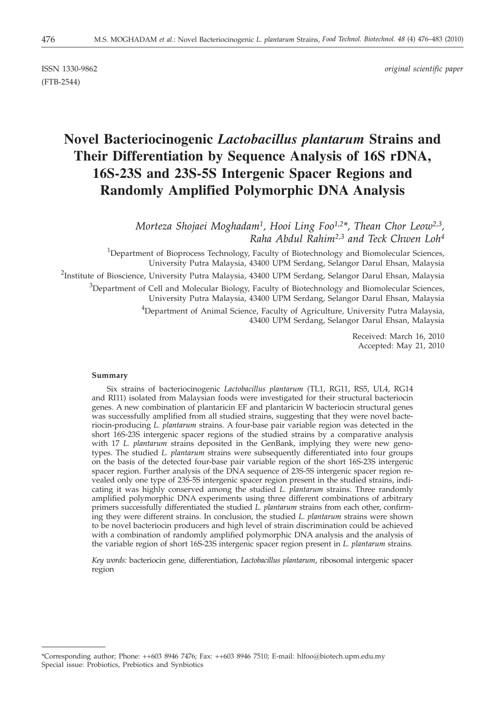(FTB-2544)

ISSN 1330-9862 *original scientific paper*

# **Novel Bacteriocinogenic** *Lactobacillus plantarum* **Strains and Their Differentiation by Sequence Analysis of 16S rDNA, 16S-23S and 23S-5S Intergenic Spacer Regions and Randomly Amplified Polymorphic DNA Analysis**

*Morteza Shojaei Moghadam1, Hooi Ling Foo1,2\*, Thean Chor Leow2,3, Raha Abdul Rahim2,3 and Teck Chwen Loh4*

<sup>1</sup>Department of Bioprocess Technology, Faculty of Biotechnology and Biomolecular Sciences, University Putra Malaysia, 43400 UPM Serdang, Selangor Darul Ehsan, Malaysia <sup>2</sup>Institute of Bioscience, University Putra Malaysia, 43400 UPM Serdang, Selangor Darul Ehsan, Malaysia  $^3$ Department of Cell and Molecular Biology, Faculty of Biotechnology and Biomolecular Sciences, University Putra Malaysia, 43400 UPM Serdang, Selangor Darul Ehsan, Malaysia <sup>4</sup>Department of Animal Science, Faculty of Agriculture, University Putra Malaysia, 43400 UPM Serdang, Selangor Darul Ehsan, Malaysia

> Received: March 16, 2010 Accepted: May 21, 2010

# **Summary**

Six strains of bacteriocinogenic *Lactobacillus plantarum* (TL1, RG11, RS5, UL4, RG14 and RI11) isolated from Malaysian foods were investigated for their structural bacteriocin genes. A new combination of plantaricin EF and plantaricin W bacteriocin structural genes was successfully amplified from all studied strains, suggesting that they were novel bacteriocin-producing *L. plantarum* strains. A four-base pair variable region was detected in the short 16S-23S intergenic spacer regions of the studied strains by a comparative analysis with 17 *L. plantarum* strains deposited in the GenBank, implying they were new genotypes. The studied *L. plantarum* strains were subsequently differentiated into four groups on the basis of the detected four-base pair variable region of the short 16S-23S intergenic spacer region. Further analysis of the DNA sequence of 23S-5S intergenic spacer region revealed only one type of 23S-5S intergenic spacer region present in the studied strains, indicating it was highly conserved among the studied *L. plantarum* strains. Three randomly amplified polymorphic DNA experiments using three different combinations of arbitrary primers successfully differentiated the studied *L. plantarum* strains from each other, confirming they were different strains. In conclusion, the studied *L. plantarum* strains were shown to be novel bacteriocin producers and high level of strain discrimination could be achieved with a combination of randomly amplified polymorphic DNA analysis and the analysis of the variable region of short 16S-23S intergenic spacer region present in *L. plantarum* strains.

*Key words:* bacteriocin gene, differentiation, *Lactobacillus plantarum*, ribosomal intergenic spacer region

<sup>\*</sup>Corresponding author; Phone: ++603 8946 7476; Fax: ++603 8946 7510; E-mail: hlfoo@biotech.upm.edu.my Special issue: Probiotics, Prebiotics and Synbiotics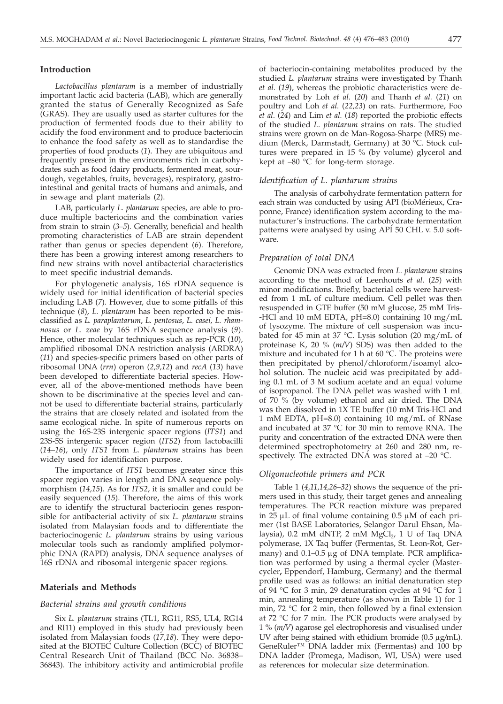## **Introduction**

*Lactobacillus plantarum* is a member of industrially important lactic acid bacteria (LAB), which are generally granted the status of Generally Recognized as Safe (GRAS). They are usually used as starter cultures for the production of fermented foods due to their ability to acidify the food environment and to produce bacteriocin to enhance the food safety as well as to standardise the properties of food products (*1*). They are ubiquitous and frequently present in the environments rich in carbohydrates such as food (dairy products, fermented meat, sourdough, vegetables, fruits, beverages), respiratory, gastrointestinal and genital tracts of humans and animals, and in sewage and plant materials (*2*).

LAB, particularly *L. plantarum* species, are able to produce multiple bacteriocins and the combination varies from strain to strain (*3–5*). Generally, beneficial and health promoting characteristics of LAB are strain dependent rather than genus or species dependent (*6*). Therefore, there has been a growing interest among researchers to find new strains with novel antibacterial characteristics to meet specific industrial demands.

For phylogenetic analysis, 16S rDNA sequence is widely used for initial identification of bacterial species including LAB (*7*). However, due to some pitfalls of this technique (*8*), *L. plantarum* has been reported to be misclassified as *L. paraplantarum*, *L. pentosus*, *L. casei, L. rhamnosus* or *L. zeae* by 16S rDNA sequence analysis (*9*). Hence, other molecular techniques such as rep-PCR (*10*), amplified ribosomal DNA restriction analysis (ARDRA) (*11*) and species-specific primers based on other parts of ribosomal DNA (*rrn*) operon (*2,9,12*) and *recA* (*13*) have been developed to differentiate bacterial species. However, all of the above-mentioned methods have been shown to be discriminative at the species level and cannot be used to differentiate bacterial strains, particularly the strains that are closely related and isolated from the same ecological niche. In spite of numerous reports on using the 16S-23S intergenic spacer regions (*ITS1*) and 23S-5S intergenic spacer region (*ITS2*) from lactobacilli (*14–16*), only *ITS1* from *L. plantarum* strains has been widely used for identification purpose.

The importance of *ITS1* becomes greater since this spacer region varies in length and DNA sequence polymorphism (*14,15*). As for *ITS2*, it is smaller and could be easily sequenced (*15*). Therefore, the aims of this work are to identify the structural bacteriocin genes responsible for antibacterial activity of six *L. plantarum* strains isolated from Malaysian foods and to differentiate the bacteriocinogenic *L. plantarum* strains by using various molecular tools such as randomly amplified polymorphic DNA (RAPD) analysis, DNA sequence analyses of 16S rDNA and ribosomal intergenic spacer regions.

## **Materials and Methods**

## *Bacterial strains and growth conditions*

Six *L. plantarum* strains (TL1, RG11, RS5, UL4, RG14 and RI11) employed in this study had previously been isolated from Malaysian foods (*17,18*). They were deposited at the BIOTEC Culture Collection (BCC) of BIOTEC Central Research Unit of Thailand (BCC No. 36838– 36843). The inhibitory activity and antimicrobial profile

of bacteriocin-containing metabolites produced by the studied *L. plantarum* strains were investigated by Thanh *et al.* (*19*), whereas the probiotic characteristics were demonstrated by Loh *et al.* (*20*) and Thanh *et al.* (*21*) on poultry and Loh *et al.* (*22,23*) on rats. Furthermore, Foo *et al*. (*24*) and Lim *et al.* (*18*) reported the probiotic effects of the studied *L. plantarum* strains on rats. The studied strains were grown on de Man-Rogosa-Sharpe (MRS) medium (Merck, Darmstadt, Germany) at 30 °C. Stock cultures were prepared in 15 % (by volume) glycerol and kept at  $-80$  °C for long-term storage.

#### *Identification of L. plantarum strains*

The analysis of carbohydrate fermentation pattern for each strain was conducted by using API (bioMérieux, Craponne, France) identification system according to the manufacturer's instructions. The carbohydrate fermentation patterns were analysed by using API 50 CHL v. 5.0 software.

#### *Preparation of total DNA*

Genomic DNA was extracted from *L. plantarum* strains according to the method of Leenhouts *et al*. (*25*) with minor modifications. Briefly, bacterial cells were harvested from 1 mL of culture medium. Cell pellet was then resuspended in GTE buffer (50 mM glucose, 25 mM Tris- -HCl and 10 mM EDTA, pH=8.0) containing 10 mg/mL of lysozyme. The mixture of cell suspension was incubated for 45 min at 37 °C. Lysis solution (20 mg/mL of proteinase K, 20 % (*m/V*) SDS) was then added to the mixture and incubated for 1 h at 60 °C. The proteins were then precipitated by phenol/chloroform/isoamyl alcohol solution. The nucleic acid was precipitated by adding 0.1 mL of 3 M sodium acetate and an equal volume of isopropanol. The DNA pellet was washed with 1 mL of 70 % (by volume) ethanol and air dried. The DNA was then dissolved in 1X TE buffer (10 mM Tris-HCl and 1 mM EDTA, pH=8.0) containing 10 mg/mL of RNase and incubated at 37 °C for 30 min to remove RNA. The purity and concentration of the extracted DNA were then determined spectrophotometry at 260 and 280 nm, respectively. The extracted DNA was stored at –20 °C.

## *Oligonucleotide primers and PCR*

Table 1 (*4,11,14,26–32*) shows the sequence of the primers used in this study, their target genes and annealing temperatures. The PCR reaction mixture was prepared in 25  $\mu$ L of final volume containing 0.5  $\mu$ M of each primer (1st BASE Laboratories, Selangor Darul Ehsan, Malaysia),  $0.2$  mM dNTP,  $2$  mM MgCl<sub>2</sub>,  $1$  U of Taq DNA polymerase, 1X Taq buffer (Fermentas, St. Leon-Rot, Germany) and  $0.1-0.5 \mu g$  of DNA template. PCR amplification was performed by using a thermal cycler (Mastercycler**,** Eppendorf, Hamburg, Germany) and the thermal profile used was as follows: an initial denaturation step of 94 °C for 3 min, 29 denaturation cycles at 94 °C for 1 min, annealing temperature (as shown in Table 1) for 1 min, 72 °C for 2 min, then followed by a final extension at 72 °C for 7 min. The PCR products were analysed by 1%(*m/V*) agarose gel electrophoresis and visualised under UV after being stained with ethidium bromide (0.5 µg/mL). GeneRuler™ DNA ladder mix (Fermentas) and 100 bp DNA ladder (Promega, Madison, WI, USA) were used as references for molecular size determination.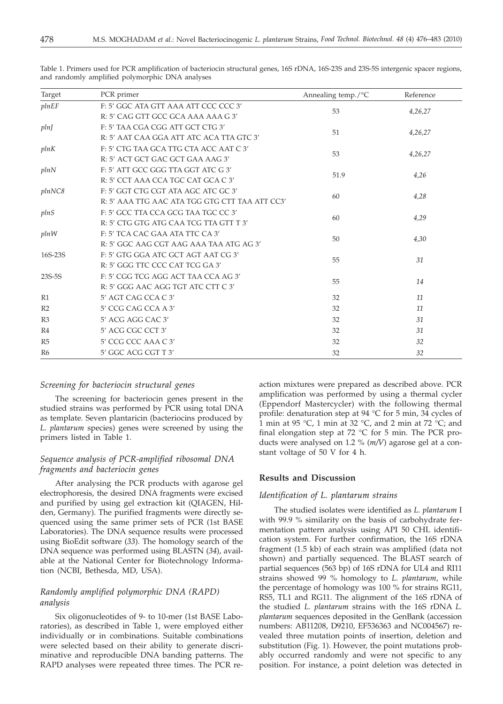| Target         | PCR primer                                     | Annealing temp./°C                                                                                                                            | Reference |  |  |
|----------------|------------------------------------------------|-----------------------------------------------------------------------------------------------------------------------------------------------|-----------|--|--|
| plnEF          | F: 5' GGC ATA GTT AAA ATT CCC CCC 3'           |                                                                                                                                               |           |  |  |
|                | R: 5' CAG GTT GCC GCA AAA AAA G 3'             |                                                                                                                                               |           |  |  |
| pln            | F: 5' TAA CGA CGG ATT GCT CTG 3'               |                                                                                                                                               |           |  |  |
|                | R: 5' AAT CAA GGA ATT ATC ACA TTA GTC 3'       |                                                                                                                                               |           |  |  |
| plnK           | F: 5' CTG TAA GCA TTG CTA ACC AAT C 3'         | 53<br>4,26,27<br>51<br>4,26,27<br>53<br>4,26,27<br>51.9<br>4,26<br>60<br>4,28<br>60<br>4,29<br>50<br>4,30<br>31<br>55<br>55<br>14<br>32<br>11 |           |  |  |
|                | R: 5' ACT GCT GAC GCT GAA AAG 3'               |                                                                                                                                               |           |  |  |
| plnN           | F: 5' ATT GCC GGG TTA GGT ATC G 3'             | 32<br>11                                                                                                                                      |           |  |  |
|                | R: 5' CCT AAA CCA TGC CAT GCA C 3'             |                                                                                                                                               |           |  |  |
| plnNC8         | F: 5' GGT CTG CGT ATA AGC ATC GC 3'            | 32<br>31                                                                                                                                      |           |  |  |
|                | R: 5' AAA TTG AAC ATA TGG GTG CTT TAA ATT CC3' |                                                                                                                                               |           |  |  |
| plnS           | F: 5' GCC TTA CCA GCG TAA TGC CC 3'            |                                                                                                                                               |           |  |  |
|                | R: 5' CTG GTG ATG CAA TCG TTA GTT T 3'         |                                                                                                                                               |           |  |  |
| plnW           | F: 5' TCA CAC GAA ATA TTC CA 3'                |                                                                                                                                               |           |  |  |
|                | R: 5' GGC AAG CGT AAG AAA TAA ATG AG 3'        |                                                                                                                                               |           |  |  |
| 16S-23S        | F: 5' GTG GGA ATC GCT AGT AAT CG 3'            |                                                                                                                                               |           |  |  |
|                | R: 5' GGG TTC CCC CAT TCG GA 3'                |                                                                                                                                               |           |  |  |
| 23S-5S         | F: 5' CGG TCG AGG ACT TAA CCA AG 3'            |                                                                                                                                               |           |  |  |
|                | R: 5' GGG AAC AGG TGT ATC CTT C 3'             |                                                                                                                                               |           |  |  |
| R1             | 5' AGT CAG CCA C 3'                            |                                                                                                                                               |           |  |  |
| R <sub>2</sub> | 5' CCG CAG CCA A 3'                            |                                                                                                                                               |           |  |  |
| R <sub>3</sub> | 5' ACG AGG CAC 3'                              |                                                                                                                                               |           |  |  |
| R4             | 5' ACG CGC CCT 3'                              | 32                                                                                                                                            | 31        |  |  |
| R5             | 5' CCG CCC AAA C 3'                            | 32                                                                                                                                            | 32        |  |  |
| R <sub>6</sub> | 5' GGC ACG CGT T 3'                            | 32                                                                                                                                            | 32        |  |  |

Table 1. Primers used for PCR amplification of bacteriocin structural genes, 16S rDNA, 16S-23S and 23S-5S intergenic spacer regions, and randomly amplified polymorphic DNA analyses

## *Screening for bacteriocin structural genes*

The screening for bacteriocin genes present in the studied strains was performed by PCR using total DNA as template. Seven plantaricin (bacteriocins produced by *L. plantarum* species) genes were screened by using the primers listed in Table 1.

# *Sequence analysis of PCR-amplified ribosomal DNA fragments and bacteriocin genes*

After analysing the PCR products with agarose gel electrophoresis, the desired DNA fragments were excised and purified by using gel extraction kit (QIAGEN, Hilden, Germany). The purified fragments were directly sequenced using the same primer sets of PCR (1st BASE Laboratories). The DNA sequence results were processed using BioEdit software (*33*). The homology search of the DNA sequence was performed using BLASTN (*34*), available at the National Center for Biotechnology Information (NCBI, Bethesda, MD, USA).

# *Randomly amplified polymorphic DNA (RAPD) analysis*

Six oligonucleotides of 9- to 10-mer (1st BASE Laboratories), as described in Table 1, were employed either individually or in combinations. Suitable combinations were selected based on their ability to generate discriminative and reproducible DNA banding patterns. The RAPD analyses were repeated three times. The PCR reaction mixtures were prepared as described above. PCR amplification was performed by using a thermal cycler (Eppendorf Mastercycler) with the following thermal profile: denaturation step at 94 °C for 5 min, 34 cycles of 1 min at 95 °C, 1 min at 32 °C, and 2 min at 72 °C; and final elongation step at 72 °C for 5 min. The PCR products were analysed on 1.2 % (*m/V*) agarose gel at a constant voltage of 50 V for 4 h.

# **Results and Discussion**

# *Identification of L. plantarum strains*

The studied isolates were identified as *L. plantarum* I with 99.9 % similarity on the basis of carbohydrate fermentation pattern analysis using API 50 CHL identification system. For further confirmation, the 16S rDNA fragment (1.5 kb) of each strain was amplified (data not shown) and partially sequenced. The BLAST search of partial sequences (563 bp) of 16S rDNA for UL4 and RI11 strains showed 99 % homology to *L. plantarum*, while the percentage of homology was 100 % for strains RG11, RS5, TL1 and RG11. The alignment of the 16S rDNA of the studied *L. plantarum* strains with the 16S rDNA *L. plantarum* sequences deposited in the GenBank (accession numbers: AB11208, D9210, EF536363 and NC004567) revealed three mutation points of insertion, deletion and substitution (Fig. 1). However, the point mutations probably occurred randomly and were not specific to any position. For instance, a point deletion was detected in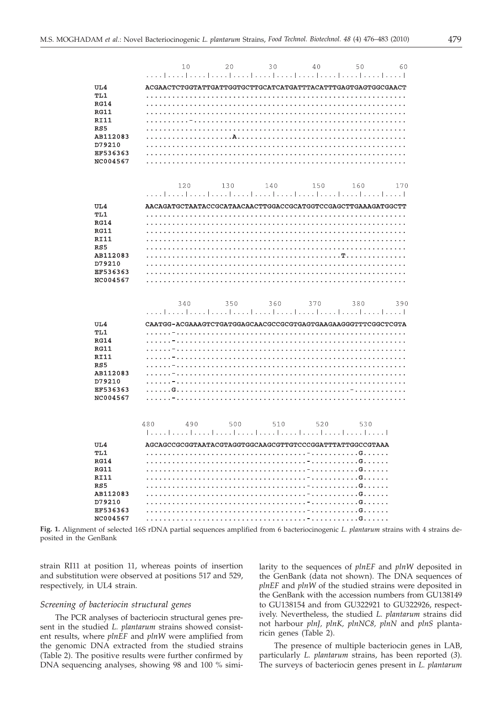|             | 60<br>40<br>10<br>20<br>30<br>50                             |     |
|-------------|--------------------------------------------------------------|-----|
|             |                                                              |     |
| UL4         |                                                              |     |
| TL1         |                                                              |     |
| <b>RG14</b> |                                                              |     |
| <b>RG11</b> |                                                              |     |
| <b>RI11</b> |                                                              |     |
| RS5         |                                                              |     |
| AB112083    |                                                              |     |
| D79210      |                                                              |     |
| EF536363    |                                                              |     |
| NC004567    |                                                              |     |
|             |                                                              |     |
|             |                                                              |     |
|             | 140<br>130<br>150<br>160<br>120                              | 170 |
|             |                                                              |     |
| UL4         | AACAGATGCTAATACCGCATAACAACTTGGACCGCATGGTCCGAGCTTGAAAGATGGCTT |     |
| TL1         |                                                              |     |
| <b>RG14</b> |                                                              |     |
| <b>RG11</b> |                                                              |     |
| <b>RI11</b> |                                                              |     |
| RS5         |                                                              |     |
| AB112083    |                                                              |     |
|             |                                                              |     |
| D79210      |                                                              |     |
| EF536363    |                                                              |     |
| NC004567    |                                                              |     |
|             |                                                              |     |
|             | 350<br>360<br>370<br>380<br>340                              | 390 |
|             |                                                              |     |
|             |                                                              |     |
|             |                                                              |     |
| UL4         | CAATGG-ACGAAAGTCTGATGGAGCAACGCCGCGTGAGTGAAGAAGGGTTTCGGCTCGTA |     |
| TL1         |                                                              |     |
| <b>RG14</b> |                                                              |     |
| <b>RG11</b> |                                                              |     |
| <b>RI11</b> |                                                              |     |
| RS5         |                                                              |     |
| AB112083    |                                                              |     |
| D79210      |                                                              |     |
| EF536363    |                                                              |     |
| NC004567    |                                                              |     |
|             |                                                              |     |
|             |                                                              |     |
|             | 500<br>490<br>510<br>520<br>480<br>530                       |     |
|             |                                                              |     |
| UL4         | AGCAGCCGCGGTAATACGTAGGTGGCAAGCGTTGTCCCGGATTTATTGGCCGTAAA     |     |
| TL1         |                                                              |     |
| <b>RG14</b> |                                                              |     |
| <b>RG11</b> |                                                              |     |
| <b>RI11</b> |                                                              |     |
| RS5         |                                                              |     |
| AB112083    |                                                              |     |
| D79210      |                                                              |     |
| EF536363    |                                                              |     |

**Fig. 1.** Alignment of selected 16S rDNA partial sequences amplified from 6 bacteriocinogenic *L. plantarum* strains with 4 strains deposited in the GenBank

strain RI11 at position 11, whereas points of insertion and substitution were observed at positions 517 and 529, respectively, in UL4 strain.

# *Screening of bacteriocin structural genes*

The PCR analyses of bacteriocin structural genes present in the studied *L. plantarum* strains showed consistent results, where *plnEF* and *plnW* were amplified from the genomic DNA extracted from the studied strains (Table 2). The positive results were further confirmed by DNA sequencing analyses, showing 98 and 100 % similarity to the sequences of *plnEF* and *plnW* deposited in the GenBank (data not shown). The DNA sequences of *plnEF* and *plnW* of the studied strains were deposited in the GenBank with the accession numbers from GU138149 to GU138154 and from GU322921 to GU322926, respectively. Nevertheless, the studied *L. plantarum* strains did not harbour *plnJ, plnK, plnNC8, plnN* and *plnS* plantaricin genes (Table 2).

The presence of multiple bacteriocin genes in LAB, particularly *L. plantarum* strains, has been reported (*3*). The surveys of bacteriocin genes present in *L. plantarum*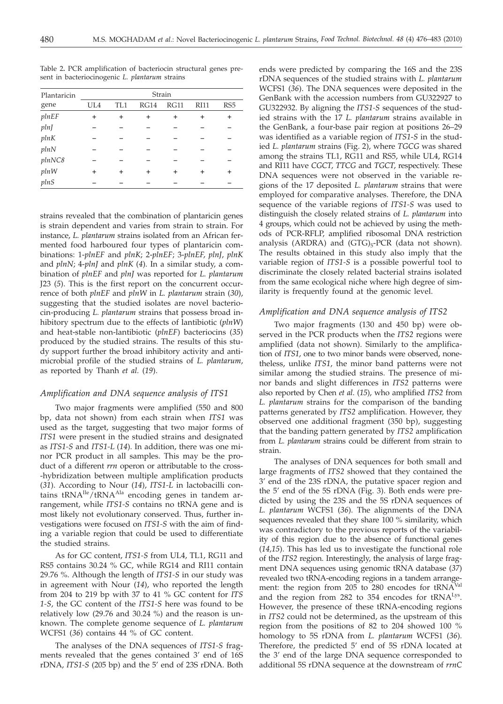| Plantaricin | Strain    |           |      |      |             |                 |  |
|-------------|-----------|-----------|------|------|-------------|-----------------|--|
| gene        | UL4       | TL1       | RG14 | RG11 | <b>RI11</b> | RS <sub>5</sub> |  |
| plnEF       | ÷         | $\ddot{}$ | ÷    | ÷    | ÷           | ÷               |  |
| plnJ        |           |           |      |      |             |                 |  |
| plnK        |           |           |      |      |             |                 |  |
| plnN        |           |           |      |      |             |                 |  |
| plnNC8      |           |           |      |      |             |                 |  |
| plnW        | $\ddot{}$ | +         | +    | +    |             | +               |  |
| plnS        |           |           |      |      |             |                 |  |

Table 2**.** PCR amplification of bacteriocin structural genes present in bacteriocinogenic *L. plantarum* strains

strains revealed that the combination of plantaricin genes is strain dependent and varies from strain to strain. For instance, *L. plantarum* strains isolated from an African fermented food harboured four types of plantaricin combinations: 1-*plnEF* and *plnK*; 2-*plnEF*; 3-*plnEF*, *plnJ*, *plnK* and *plnN*; 4-*plnJ* and *plnK* (*4*). In a similar study, a combination of *plnEF* and *plnJ* was reported for *L. plantarum* J23 (*5*). This is the first report on the concurrent occurrence of both *plnEF* and *plnW* in *L. plantarum* strain (*30*), suggesting that the studied isolates are novel bacteriocin-producing *L. plantarum* strains that possess broad inhibitory spectrum due to the effects of lantibiotic (*plnW*) and heat-stable non-lantibiotic (*plnEF*) bacteriocins (*35*) produced by the studied strains. The results of this study support further the broad inhibitory activity and antimicrobial profile of the studied strains of *L. plantarum*, as reported by Thanh *et al.* (*19*).

## *Amplification and DNA sequence analysis of ITS1*

Two major fragments were amplified (550 and 800 bp, data not shown) from each strain when *ITS1* was used as the target, suggesting that two major forms of *ITS1* were present in the studied strains and designated as *ITS1-S* and *ITS1-L* (*14*). In addition, there was one minor PCR product in all samples. This may be the product of a different *rrn* operon or attributable to the cross- -hybridization between multiple amplification products (*31*). According to Nour (*14*), *ITS1-L* in lactobacilli contains tRNA<sup>Ile</sup>/tRNA<sup>Ala</sup> encoding genes in tandem arrangement, while *ITS1-S* contains no tRNA gene and is most likely not evolutionary conserved. Thus, further investigations were focused on *ITS1-S* with the aim of finding a variable region that could be used to differentiate the studied strains.

As for GC content, *ITS1-S* from UL4, TL1, RG11 and RS5 contains 30.24 % GC, while RG14 and RI11 contain 29.76 %. Although the length of *ITS1-S* in our study was in agreement with Nour (*14*), who reported the length from 204 to 219 bp with 37 to 41 % GC content for *ITS 1-S*, the GC content of the *ITS1-S* here was found to be relatively low (29.76 and 30.24 %) and the reason is unknown. The complete genome sequence of *L. plantarum* WCFS1 (*36*) contains 44 % of GC content.

The analyses of the DNA sequences of *ITS1-S* fragments revealed that the genes contained 3' end of 16S rDNA, *ITS1-S* (205 bp) and the 5' end of 23S rDNA. Both

ends were predicted by comparing the 16S and the 23S rDNA sequences of the studied strains with *L. plantarum* WCFS1 (*36*). The DNA sequences were deposited in the GenBank with the accession numbers from GU322927 to GU322932. By aligning the *ITS1-S* sequences of the studied strains with the 17 *L. plantarum* strains available in the GenBank, a four-base pair region at positions 26–29 was identified as a variable region of *ITS1*-*S* in the studied *L. plantarum* strains (Fig. 2), where *TGCG* was shared among the strains TL1, RG11 and RS5, while UL4, RG14 and RI11 have *CGCT*, *TTCG* and *TGCT*, respectively. These DNA sequences were not observed in the variable regions of the 17 deposited *L. plantarum* strains that were employed for comparative analyses. Therefore, the DNA sequence of the variable regions of *ITS1-S* was used to distinguish the closely related strains of *L. plantarum* into 4 groups, which could not be achieved by using the methods of PCR-RFLP, amplified ribosomal DNA restriction analysis (ARDRA) and  $(GTG)_{5}$ -PCR (data not shown). The results obtained in this study also imply that the variable region of *ITS1-S* is a possible powerful tool to discriminate the closely related bacterial strains isolated from the same ecological niche where high degree of similarity is frequently found at the genomic level.

# *Amplification and DNA sequence analysis of ITS2*

Two major fragments (130 and 450 bp) were observed in the PCR products when the *ITS2* regions were amplified (data not shown). Similarly to the amplification of *ITS1*, one to two minor bands were observed, nonetheless, unlike *ITS1*, the minor band patterns were not similar among the studied strains. The presence of minor bands and slight differences in *ITS2* patterns were also reported by Chen *et al*. (*15*), who amplified *ITS2* from *L. plantarum* strains for the comparison of the banding patterns generated by *ITS2* amplification. However, they observed one additional fragment (350 bp), suggesting that the banding pattern generated by *ITS2* amplification from *L. plantarum* strains could be different from strain to strain.

The analyses of DNA sequences for both small and large fragments of *ITS2* showed that they contained the 3' end of the 23S rDNA, the putative spacer region and the 5' end of the 5S rDNA (Fig. 3). Both ends were predicted by using the 23S and the 5S rDNA sequences of *L. plantarum* WCFS1 (*36*). The alignments of the DNA sequences revealed that they share 100 % similarity, which was contradictory to the previous reports of the variability of this region due to the absence of functional genes (*14,15*). This has led us to investigate the functional role of the *ITS2* region. Interestingly, the analysis of large fragment DNA sequences using genomic tRNA database (*37*) revealed two tRNA-encoding regions in a tandem arrangement: the region from 205 to 280 encodes for tRNA<sup>Val</sup> and the region from 282 to 354 encodes for tRNA<sup>Lys</sup>. However, the presence of these tRNA-encoding regions in *ITS2* could not be determined, as the upstream of this region from the positions of 82 to 204 showed 100 % homology to 5S rDNA from *L. plantarum* WCFS1 (*36*). Therefore, the predicted 5' end of 5S rDNA located at the 3' end of the large DNA sequence corresponded to additional 5S rDNA sequence at the downstream of *rrnC*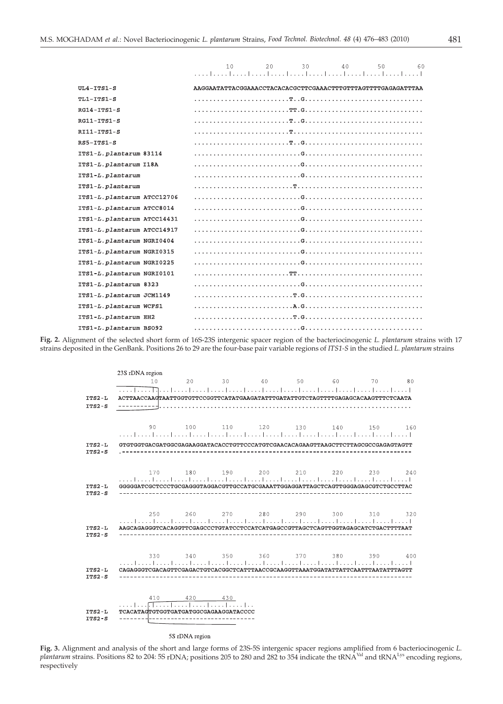|                             | 60<br>2.0<br>30<br>40 <sup>°</sup><br>50<br>1 <sub>0</sub>  |
|-----------------------------|-------------------------------------------------------------|
| $UL4-TTS1-S$                | AAGGAATATTACGGAAACCTACACACGCTTCGAAACTTTGTTTAGTTTGAGAGATTTAA |
| TL1-ITS1-S                  |                                                             |
| $RG14 - ITS1-S$             |                                                             |
| RG11-ITS1-S                 |                                                             |
| $RI11-ITS1-S$               |                                                             |
| $RS5-TTS1-S$                |                                                             |
| ITS1-L. plantarum 83114     |                                                             |
| ITS1-L.plantarum I18A       |                                                             |
| ITS1-L.plantarum            |                                                             |
| ITS1-L.plantarum            |                                                             |
| ITS1-L.plantarum ATCC12706  |                                                             |
| ITS1-L. plantarum ATCC8014  |                                                             |
| ITS1-L. plantarum ATCC14431 |                                                             |
| ITS1-L.plantarum ATCC14917  |                                                             |
| ITS1-L.plantarum NGRI0404   |                                                             |
| ITS1-L. plantarum NGRI0315  |                                                             |
| ITS1-L.plantarum NGRI0225   |                                                             |
| ITS1-L. plantarum NGRI0101  |                                                             |
| ITS1-L.plantarum 8323       |                                                             |
| ITS1-L.plantarum JCM1149    |                                                             |
| ITS1-L.plantarum WCFS1      |                                                             |
| ITS1-L. plantarum EH2       |                                                             |
| ITS1-L.plantarum BS092      |                                                             |

**Fig. 2.** Alignment of the selected short form of 16S-23S intergenic spacer region of the bacteriocinogenic *L. plantarum* strains with 17 strains deposited in the GenBank. Positions 26 to 29 are the four-base pair variable regions of *ITS1-S* in the studied *L. plantarum* strains

| 23S rDNA region<br>10                                                                                                                          |  | 20 30 40 50 60 70 80                                           |  |  |  |
|------------------------------------------------------------------------------------------------------------------------------------------------|--|----------------------------------------------------------------|--|--|--|
| ACTTAACCAAGTAATTGGTGTTCCGGTTCATATGAAGATATTTGATATTGTCTAGTTTTGAGAGCACAAGTTTCTCAATA                                                               |  |                                                                |  |  |  |
| GTGTGGTGACGATGGCGAGAAGGATACACCTGTTCCCATGTCGAACACAGAAGTTAAGCTTCTTAGCGCCGAGAGTAGTT                                                               |  | 90 100 110 120 130 140 150 160                                 |  |  |  |
|                                                                                                                                                |  |                                                                |  |  |  |
| GGGGGATCGCTCCCTGCGAGGGTAGGACGTTGCCATGCGAAATTGGAGGATTAGCTCAGTTGGGAGAGCGTCTGCCTTAC                                                               |  | 170 180 190 200 210 220 230 240<br>--------------------------- |  |  |  |
| AAGCAGAGGGTCACAGGTTCGAGCCCTGTATCCTCCATCATGAGCCGTTAGCTCAGTTGGTAGAGCATCTGACTTTTAAT                                                               |  | 250 260 270 280 290 300 310 320                                |  |  |  |
| CAGAGGGTCGACAGTTCGAGACTGTCACGGCTCATTTAACCGCAAGGTTAAATGGATATTATTCAATTTAATATTTAGTT                                                               |  | 330 340 350 360 370 380 390 400                                |  |  |  |
| $410$ $420$ $430$<br>$\ldots$ $\ldots$ $\ldots$ $\ldots$ $\ldots$ $\ldots$ $\ldots$ $\ldots$ $\ldots$<br>TCACATAGTGTGGTGATGATGGCGAGAAGGATACCCC |  |                                                                |  |  |  |

#### 5S rDNA region

**Fig. 3.** Alignment and analysis of the short and large forms of 23S-5S intergenic spacer regions amplified from 6 bacteriocinogenic *L. plantarum* strains. Positions 82 to 204: 5S rDNA; positions 205 to 280 and 282 to 354 indicate the tRNA<sup>Val</sup> and tRNA<sup>Lys</sup> encoding regions, respectively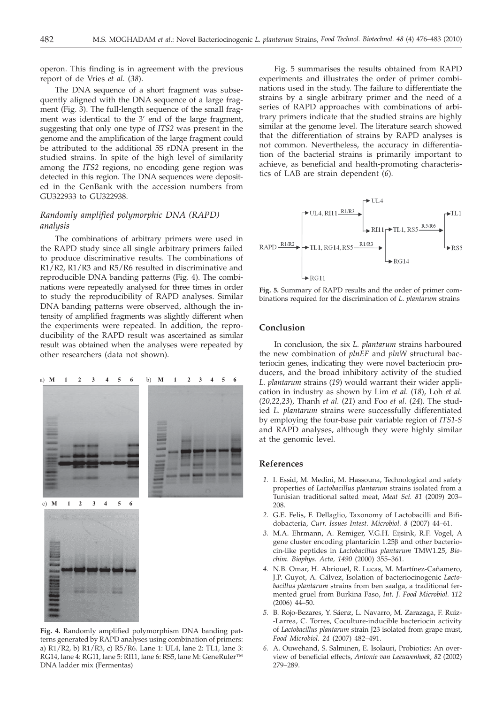operon. This finding is in agreement with the previous report of de Vries *et al*. (*38*).

The DNA sequence of a short fragment was subsequently aligned with the DNA sequence of a large fragment (Fig. 3). The full-length sequence of the small fragment was identical to the 3' end of the large fragment, suggesting that only one type of *ITS2* was present in the genome and the amplification of the large fragment could be attributed to the additional 5S rDNA present in the studied strains. In spite of the high level of similarity among the *ITS2* regions, no encoding gene region was detected in this region. The DNA sequences were deposited in the GenBank with the accession numbers from GU322933 to GU322938.

# *Randomly amplified polymorphic DNA (RAPD) analysis*

The combinations of arbitrary primers were used in the RAPD study since all single arbitrary primers failed to produce discriminative results. The combinations of R1/R2, R1/R3 and R5/R6 resulted in discriminative and reproducible DNA banding patterns (Fig. 4). The combinations were repeatedly analysed for three times in order to study the reproducibility of RAPD analyses. Similar DNA banding patterns were observed, although the intensity of amplified fragments was slightly different when the experiments were repeated. In addition, the reproducibility of the RAPD result was ascertained as similar result was obtained when the analyses were repeated by other researchers (data not shown).

## a) **M1 2 3 456** b) **M 1 23456**



**Fig. 4.** Randomly amplified polymorphism DNA banding patterns generated by RAPD analyses using combination of primers: a) R1/R2, b) R1/R3, c) R5/R6. Lane 1: UL4, lane 2: TL1, lane 3: RG14, lane 4: RG11, lane 5: RI11, lane 6: RS5, lane M: GeneRuler™ DNA ladder mix (Fermentas)

Fig. 5 summarises the results obtained from RAPD experiments and illustrates the order of primer combinations used in the study. The failure to differentiate the strains by a single arbitrary primer and the need of a series of RAPD approaches with combinations of arbitrary primers indicate that the studied strains are highly similar at the genome level. The literature search showed that the differentiation of strains by RAPD analyses is not common. Nevertheless, the accuracy in differentiation of the bacterial strains is primarily important to achieve, as beneficial and health-promoting characteristics of LAB are strain dependent (*6*).



**Fig. 5.** Summary of RAPD results and the order of primer combinations required for the discrimination of *L. plantarum* strains

# **Conclusion**

In conclusion, the six *L. plantarum* strains harboured the new combination of *plnEF* and *plnW* structural bacteriocin genes, indicating they were novel bacteriocin producers, and the broad inhibitory activity of the studied *L. plantarum* strains (*19*) would warrant their wider application in industry as shown by Lim *et al.* (*18*), Loh *et al.* (*20,22,23*), Thanh *et al.* (*21*) and Foo *et al*. (*24*). The studied *L. plantarum* strains were successfully differentiated by employing the four-base pair variable region of *ITS1-S* and RAPD analyses, although they were highly similar at the genomic level.

#### **References**

- *1.* I. Essid, M. Medini, M. Hassouna, Technological and safety properties of *Lactobacillus plantarum* strains isolated from a Tunisian traditional salted meat, *Meat Sci. 81* (2009) 203– 208.
- *2.* G.E. Felis, F. Dellaglio, Taxonomy of Lactobacilli and Bifidobacteria, *Curr. Issues Intest. Microbiol. 8* (2007) 44–61.
- *3.* M.A. Ehrmann, A. Remiger, V.G.H. Eijsink, R.F. Vogel, A gene cluster encoding plantaricin  $1.25\beta$  and other bacteriocin-like peptides in *Lactobacillus plantarum* TMW1.25, *Biochim. Biophys. Acta, 1490* (2000) 355–361.
- *4.* N.B. Omar, H. Abriouel, R. Lucas, M. Martínez-Cañamero, J.P. Guyot, A. Gálvez, Isolation of bacteriocinogenic *Lactobacillus plantarum* strains from ben saalga, a traditional fermented gruel from Burkina Faso, *Int. J. Food Microbiol. 112* (2006) 44–50.
- *5.* B. Rojo-Bezares, Y. Sáenz, L. Navarro, M. Zarazaga, F. Ruiz- -Larrea, C. Torres, Coculture-inducible bacteriocin activity of *Lactobacillus plantarum* strain J23 isolated from grape must, *Food Microbiol. 24* (2007) 482–491.
- *6.* A. Ouwehand, S. Salminen, E. Isolauri, Probiotics: An overview of beneficial effects, *Antonie van Leeuwenhoek, 82* (2002) 279–289.